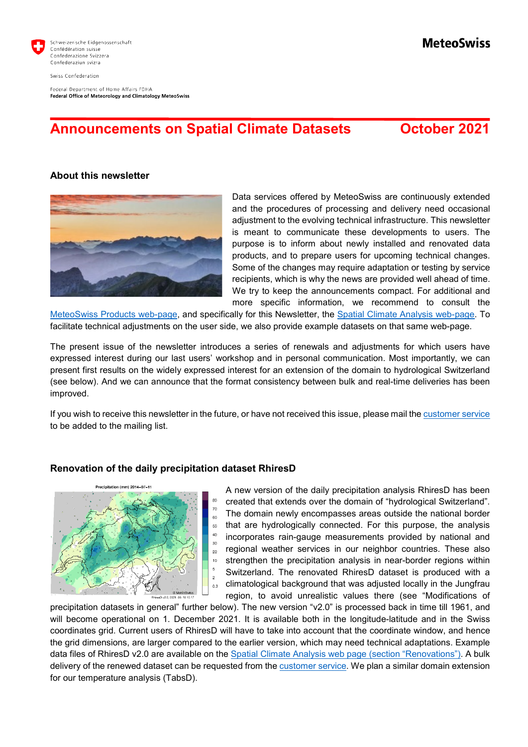

Swiss Confederation

Federal Department of Home Affairs FDHA Federal Office of Meteorology and Climatology MeteoSwiss

# **Announcements on Spatial Climate Datasets October 2021**

**MeteoSwiss** 

### **About this newsletter**



Data services offered by MeteoSwiss are continuously extended and the procedures of processing and delivery need occasional adjustment to the evolving technical infrastructure. This newsletter is meant to communicate these developments to users. The purpose is to inform about newly installed and renovated data products, and to prepare users for upcoming technical changes. Some of the changes may require adaptation or testing by service recipients, which is why the news are provided well ahead of time. We try to keep the announcements compact. For additional and more specific information, we recommend to consult the

[MeteoSwiss Products web-page,](https://www.meteoschweiz.admin.ch/home/service-und-publikationen/produkte.html?=&pageIndex=0&tab=search_tab) and specifically for this Newsletter, the [Spatial Climate Analysis web-page.](https://www.meteoswiss.admin.ch/home/climate/swiss-climate-in-detail/raeumliche-klimaanalysen.html) To facilitate technical adjustments on the user side, we also provide example datasets on that same web-page.

The present issue of the newsletter introduces a series of renewals and adjustments for which users have expressed interest during our last users' workshop and in personal communication. Most importantly, we can present first results on the widely expressed interest for an extension of the domain to hydrological Switzerland (see below). And we can announce that the format consistency between bulk and real-time deliveries has been improved.

If you wish to receive this newsletter in the future, or have not received this issue, please mail th[e customer service](mailto:kundendienst@meteoswiss.ch) to be added to the mailing list.

#### **Renovation of the daily precipitation dataset RhiresD**



A new version of the daily precipitation analysis RhiresD has been created that extends over the domain of "hydrological Switzerland". The domain newly encompasses areas outside the national border that are hydrologically connected. For this purpose, the analysis incorporates rain-gauge measurements provided by national and regional weather services in our neighbor countries. These also strengthen the precipitation analysis in near-border regions within Switzerland. The renovated RhiresD dataset is produced with a climatological background that was adjusted locally in the Jungfrau region, to avoid unrealistic values there (see "Modifications of

precipitation datasets in general" further below). The new version "v2.0" is processed back in time till 1961, and will become operational on 1. December 2021. It is available both in the longitude-latitude and in the Swiss coordinates grid. Current users of RhiresD will have to take into account that the coordinate window, and hence the grid dimensions, are larger compared to the earlier version, which may need technical adaptations. Example data files of RhiresD v2.0 are available on the [Spatial Climate Analysis web page](https://www.meteoswiss.admin.ch/home/climate/swiss-climate-in-detail/raeumliche-klimaanalysen.html) (section "Renovations"). A bulk delivery of the renewed dataset can be requested from the [customer service.](mailto:kundendienst@meteoschweiz.ch) We plan a similar domain extension for our temperature analysis (TabsD).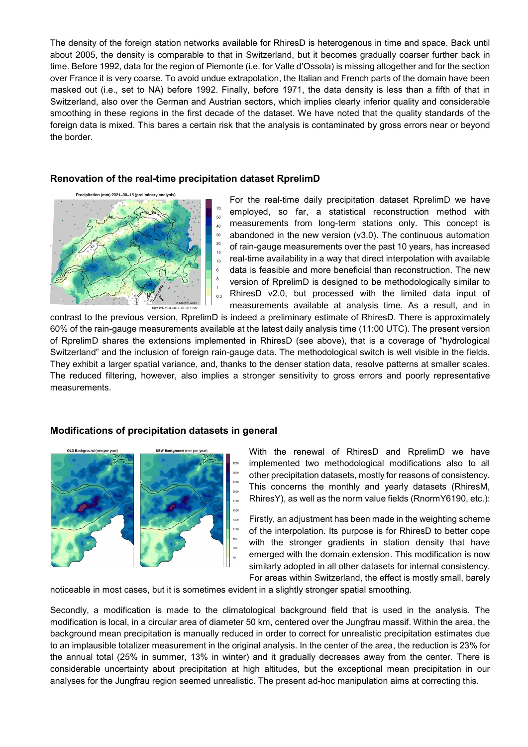The density of the foreign station networks available for RhiresD is heterogenous in time and space. Back until about 2005, the density is comparable to that in Switzerland, but it becomes gradually coarser further back in time. Before 1992, data for the region of Piemonte (i.e. for Valle d'Ossola) is missing altogether and for the section over France it is very coarse. To avoid undue extrapolation, the Italian and French parts of the domain have been masked out (i.e., set to NA) before 1992. Finally, before 1971, the data density is less than a fifth of that in Switzerland, also over the German and Austrian sectors, which implies clearly inferior quality and considerable smoothing in these regions in the first decade of the dataset. We have noted that the quality standards of the foreign data is mixed. This bares a certain risk that the analysis is contaminated by gross errors near or beyond the border.

### **Renovation of the real-time precipitation dataset RprelimD**



For the real-time daily precipitation dataset RprelimD we have employed, so far, a statistical reconstruction method with measurements from long-term stations only. This concept is abandoned in the new version (v3.0). The continuous automation of rain-gauge measurements over the past 10 years, has increased real-time availability in a way that direct interpolation with available data is feasible and more beneficial than reconstruction. The new version of RprelimD is designed to be methodologically similar to RhiresD v2.0, but processed with the limited data input of measurements available at analysis time. As a result, and in

contrast to the previous version, RprelimD is indeed a preliminary estimate of RhiresD. There is approximately 60% of the rain-gauge measurements available at the latest daily analysis time (11:00 UTC). The present version of RprelimD shares the extensions implemented in RhiresD (see above), that is a coverage of "hydrological Switzerland" and the inclusion of foreign rain-gauge data. The methodological switch is well visible in the fields. They exhibit a larger spatial variance, and, thanks to the denser station data, resolve patterns at smaller scales. The reduced filtering, however, also implies a stronger sensitivity to gross errors and poorly representative measurements.

# **Modifications of precipitation datasets in general**



With the renewal of RhiresD and RprelimD we have implemented two methodological modifications also to all other precipitation datasets, mostly for reasons of consistency. This concerns the monthly and yearly datasets (RhiresM, RhiresY), as well as the norm value fields (RnormY6190, etc.):

Firstly, an adjustment has been made in the weighting scheme of the interpolation. Its purpose is for RhiresD to better cope with the stronger gradients in station density that have emerged with the domain extension. This modification is now similarly adopted in all other datasets for internal consistency. For areas within Switzerland, the effect is mostly small, barely

noticeable in most cases, but it is sometimes evident in a slightly stronger spatial smoothing.

Secondly, a modification is made to the climatological background field that is used in the analysis. The modification is local, in a circular area of diameter 50 km, centered over the Jungfrau massif. Within the area, the background mean precipitation is manually reduced in order to correct for unrealistic precipitation estimates due to an implausible totalizer measurement in the original analysis. In the center of the area, the reduction is 23% for the annual total (25% in summer, 13% in winter) and it gradually decreases away from the center. There is considerable uncertainty about precipitation at high altitudes, but the exceptional mean precipitation in our analyses for the Jungfrau region seemed unrealistic. The present ad-hoc manipulation aims at correcting this.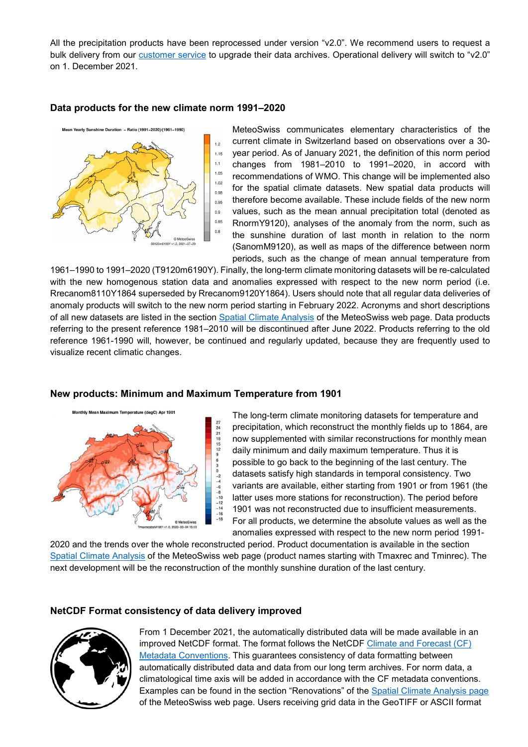All the precipitation products have been reprocessed under version "v2.0". We recommend users to request a bulk delivery from our [customer service](mailto:kundendienst@meteoschweiz.ch) to upgrade their data archives. Operational delivery will switch to "v2.0" on 1. December 2021.

### **Data products for the new climate norm 1991–2020**



MeteoSwiss communicates elementary characteristics of the current climate in Switzerland based on observations over a 30 year period. As of January 2021, the definition of this norm period changes from 1981–2010 to 1991–2020, in accord with recommendations of WMO. This change will be implemented also for the spatial climate datasets. New spatial data products will therefore become available. These include fields of the new norm values, such as the mean annual precipitation total (denoted as RnormY9120), analyses of the anomaly from the norm, such as the sunshine duration of last month in relation to the norm (SanomM9120), as well as maps of the difference between norm periods, such as the change of mean annual temperature from

1961–1990 to 1991–2020 (T9120m6190Y). Finally, the long-term climate monitoring datasets will be re-calculated with the new homogenous station data and anomalies expressed with respect to the new norm period (i.e. Rrecanom8110Y1864 superseded by Rrecanom9120Y1864). Users should note that all regular data deliveries of anomaly products will switch to the new norm period starting in February 2022. Acronyms and short descriptions of all new datasets are listed in the section [Spatial Climate Analysis](https://www.meteoswiss.admin.ch/home/climate/swiss-climate-in-detail/raeumliche-klimaanalysen.html) of the MeteoSwiss web page. Data products referring to the present reference 1981–2010 will be discontinued after June 2022. Products referring to the old reference 1961-1990 will, however, be continued and regularly updated, because they are frequently used to visualize recent climatic changes.



# **New products: Minimum and Maximum Temperature from 1901**

The long-term climate monitoring datasets for temperature and precipitation, which reconstruct the monthly fields up to 1864, are now supplemented with similar reconstructions for monthly mean daily minimum and daily maximum temperature. Thus it is possible to go back to the beginning of the last century. The datasets satisfy high standards in temporal consistency. Two variants are available, either starting from 1901 or from 1961 (the latter uses more stations for reconstruction). The period before 1901 was not reconstructed due to insufficient measurements. For all products, we determine the absolute values as well as the anomalies expressed with respect to the new norm period 1991-

2020 and the trends over the whole reconstructed period. Product documentation is available in the section [Spatial Climate Analysis](https://www.meteoswiss.admin.ch/home/climate/swiss-climate-in-detail/raeumliche-klimaanalysen.html) of the MeteoSwiss web page (product names starting with Tmaxrec and Tminrec). The next development will be the reconstruction of the monthly sunshine duration of the last century.

# **NetCDF Format consistency of data delivery improved**



From 1 December 2021, the automatically distributed data will be made available in an improved NetCDF format. The format follows the NetCDF [Climate and Forecast \(CF\)](https://cfconventions.org/)  [Metadata Conventions.](https://cfconventions.org/) This guarantees consistency of data formatting between automatically distributed data and data from our long term archives. For norm data, a climatological time axis will be added in accordance with the CF metadata conventions. Examples can be found in the section "Renovations" of the [Spatial Climate Analysis page](https://www.meteoswiss.admin.ch/home/climate/swiss-climate-in-detail/raeumliche-klimaanalysen.html) of the MeteoSwiss web page. Users receiving grid data in the GeoTIFF or ASCII format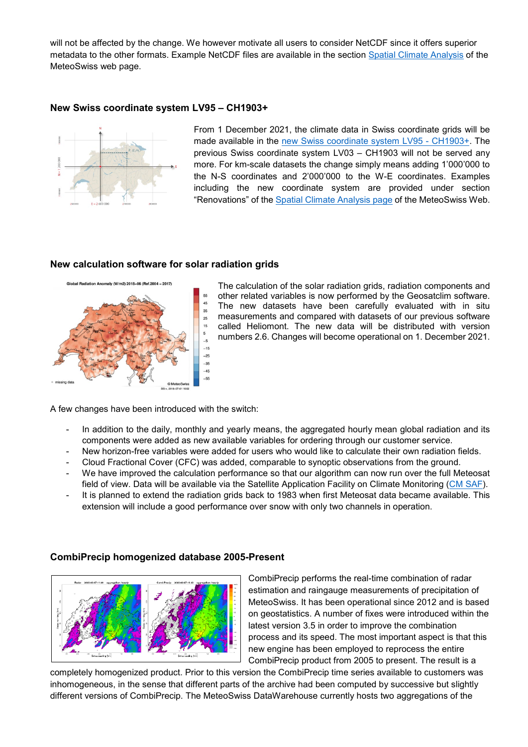will not be affected by the change. We however motivate all users to consider NetCDF since it offers superior metadata to the other formats. Example NetCDF files are available in the section [Spatial Climate Analysis](https://www.meteoswiss.admin.ch/home/climate/swiss-climate-in-detail/raeumliche-klimaanalysen.html) of the MeteoSwiss web page.

## **New Swiss coordinate system LV95 – CH1903+**



From 1 December 2021, the climate data in Swiss coordinate grids will be made available in the [new Swiss coordinate system LV95 -](https://www.swisstopo.admin.ch/en/knowledge-facts/surveying-geodesy/reference-frames/local/lv95.html) CH1903+. The previous Swiss coordinate system LV03 – CH1903 will not be served any more. For km-scale datasets the change simply means adding 1'000'000 to the N-S coordinates and 2'000'000 to the W-E coordinates. Examples including the new coordinate system are provided under section "Renovations" of the [Spatial Climate Analysis page](https://www.meteoswiss.admin.ch/home/climate/swiss-climate-in-detail/raeumliche-klimaanalysen.html) of the MeteoSwiss Web.

#### **New calculation software for solar radiation grids**



The calculation of the solar radiation grids, radiation components and other related variables is now performed by the Geosatclim software. The new datasets have been carefully evaluated with in situ measurements and compared with datasets of our previous software called Heliomont. The new data will be distributed with version numbers 2.6. Changes will become operational on 1. December 2021.

A few changes have been introduced with the switch:

- In addition to the daily, monthly and yearly means, the aggregated hourly mean global radiation and its components were added as new available variables for ordering through our customer service.
- New horizon-free variables were added for users who would like to calculate their own radiation fields.
- Cloud Fractional Cover (CFC) was added, comparable to synoptic observations from the ground.
- We have improved the calculation performance so that our algorithm can now run over the full Meteosat field of view. Data will be available via the Satellite Application Facility on Climate Monitoring [\(CM SAF\)](http://wui.cmsaf.eu/).
- It is planned to extend the radiation grids back to 1983 when first Meteosat data became available. This extension will include a good performance over snow with only two channels in operation.

CombiPrecip performs the real-time combination of radar estimation and raingauge measurements of precipitation of MeteoSwiss. It has been operational since 2012 and is based on geostatistics. A number of fixes were introduced within the latest version 3.5 in order to improve the combination process and its speed. The most important aspect is that this new engine has been employed to reprocess the entire CombiPrecip product from 2005 to present. The result is a

completely homogenized product. Prior to this version the CombiPrecip time series available to customers was inhomogeneous, in the sense that different parts of the archive had been computed by successive but slightly different versions of CombiPrecip. The MeteoSwiss DataWarehouse currently hosts two aggregations of the

# **CombiPrecip homogenized database 2005-Present**